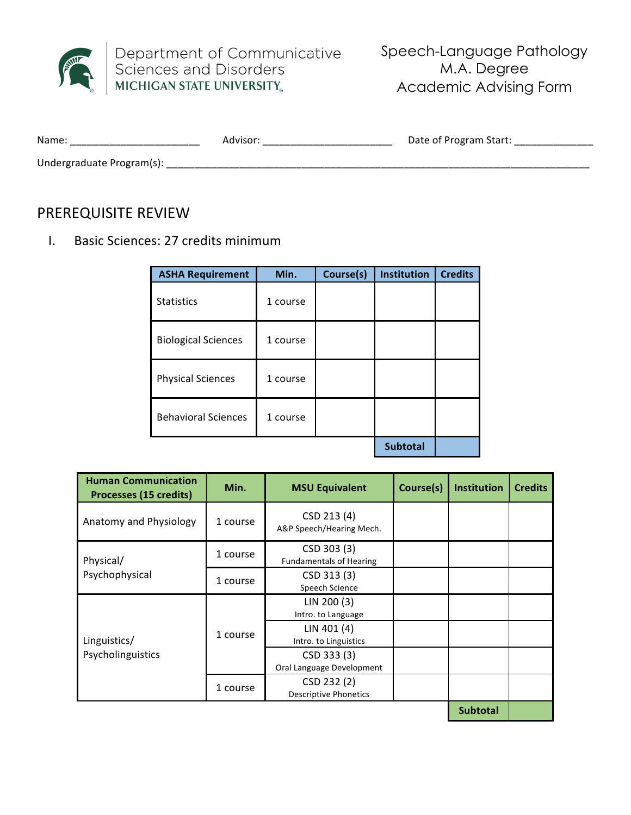

Department of Communicative<br>Sciences and Disorders<br>MICHIGAN STATE UNIVERSITY

Speech-Language Pathology M.A. Degree<br>Academic Advising Form

| Name:<br>________________ | Advisor | Date of Program Start: |
|---------------------------|---------|------------------------|
| Undergraduate Program(s): |         |                        |

## PREREQUISITE REVIEW

I. Basic Sciences: 27 credits minimum

| <b>ASHA Requirement</b>    | Min.     | Course(s) | Institution     | <b>Credits</b> |
|----------------------------|----------|-----------|-----------------|----------------|
| <b>Statistics</b>          | 1 course |           |                 |                |
| <b>Biological Sciences</b> | 1 course |           |                 |                |
| <b>Physical Sciences</b>   | 1 course |           |                 |                |
| <b>Behavioral Sciences</b> | 1 course |           |                 |                |
|                            |          |           | <b>Subtotal</b> |                |

| <b>Human Communication</b><br>Processes (15 credits) | Min.     | <b>MSU Equivalent</b>                         | Course(s) | <b>Institution</b> | <b>Credits</b> |
|------------------------------------------------------|----------|-----------------------------------------------|-----------|--------------------|----------------|
| Anatomy and Physiology                               | 1 course | CSD 213 (4)<br>A&P Speech/Hearing Mech.       |           |                    |                |
| Physical/                                            | 1 course | CSD 303 (3)<br><b>Fundamentals of Hearing</b> |           |                    |                |
| Psychophysical                                       | 1 course | CSD 313 (3)<br>Speech Science                 |           |                    |                |
|                                                      |          | LIN 200 (3)<br>Intro. to Language             |           |                    |                |
| Linguistics/                                         | 1 course | LIN 401 (4)<br>Intro. to Linguistics          |           |                    |                |
| Psycholinguistics                                    |          | CSD 333 (3)<br>Oral Language Development      |           |                    |                |
|                                                      | 1 course | CSD 232 (2)<br><b>Descriptive Phonetics</b>   |           |                    |                |
|                                                      |          |                                               |           | <b>Subtotal</b>    |                |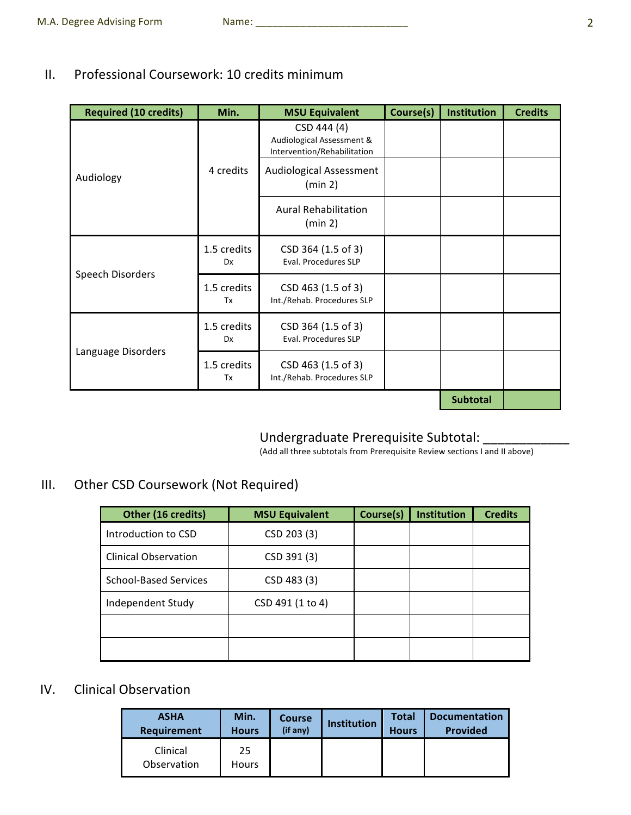#### II. Professional Coursework: 10 credits minimum

| <b>Required (10 credits)</b> | Min.                     | <b>MSU Equivalent</b>                                                   | Course(s) | <b>Institution</b> | <b>Credits</b> |
|------------------------------|--------------------------|-------------------------------------------------------------------------|-----------|--------------------|----------------|
| Audiology                    |                          | CSD 444 (4)<br>Audiological Assessment &<br>Intervention/Rehabilitation |           |                    |                |
|                              | 4 credits                | Audiological Assessment<br>(min 2)                                      |           |                    |                |
|                              |                          | <b>Aural Rehabilitation</b><br>(min 2)                                  |           |                    |                |
| Speech Disorders             | 1.5 credits<br><b>Dx</b> | CSD 364 (1.5 of 3)<br>Eval. Procedures SLP                              |           |                    |                |
|                              | 1.5 credits<br>Tx        | CSD 463 (1.5 of 3)<br>Int./Rehab. Procedures SLP                        |           |                    |                |
|                              | 1.5 credits<br><b>Dx</b> | CSD 364 (1.5 of 3)<br>Eval. Procedures SLP                              |           |                    |                |
| Language Disorders           | 1.5 credits<br>Tx        | CSD 463 (1.5 of 3)<br>Int./Rehab. Procedures SLP                        |           |                    |                |
|                              |                          |                                                                         |           | <b>Subtotal</b>    |                |

# Undergraduate Prerequisite Subtotal: \_\_\_\_\_\_\_\_\_\_\_\_\_\_\_

(Add all three subtotals from Prerequisite Review sections I and II above)

### III. Other CSD Coursework (Not Required)

| Other (16 credits)           | <b>MSU Equivalent</b> | Course(s) | <b>Institution</b> | <b>Credits</b> |
|------------------------------|-----------------------|-----------|--------------------|----------------|
| Introduction to CSD          | CSD 203 (3)           |           |                    |                |
| <b>Clinical Observation</b>  | CSD 391 (3)           |           |                    |                |
| <b>School-Based Services</b> | CSD 483 (3)           |           |                    |                |
| Independent Study            | CSD 491 (1 to 4)      |           |                    |                |
|                              |                       |           |                    |                |
|                              |                       |           |                    |                |

#### IV. Clinical Observation

| <b>ASHA</b>             | Min.               | <b>Course</b> | <b>Institution</b> | Total        | <b>Documentation</b> |
|-------------------------|--------------------|---------------|--------------------|--------------|----------------------|
| Requirement             | <b>Hours</b>       | (if any)      |                    | <b>Hours</b> | <b>Provided</b>      |
| Clinical<br>Observation | 25<br><b>Hours</b> |               |                    |              |                      |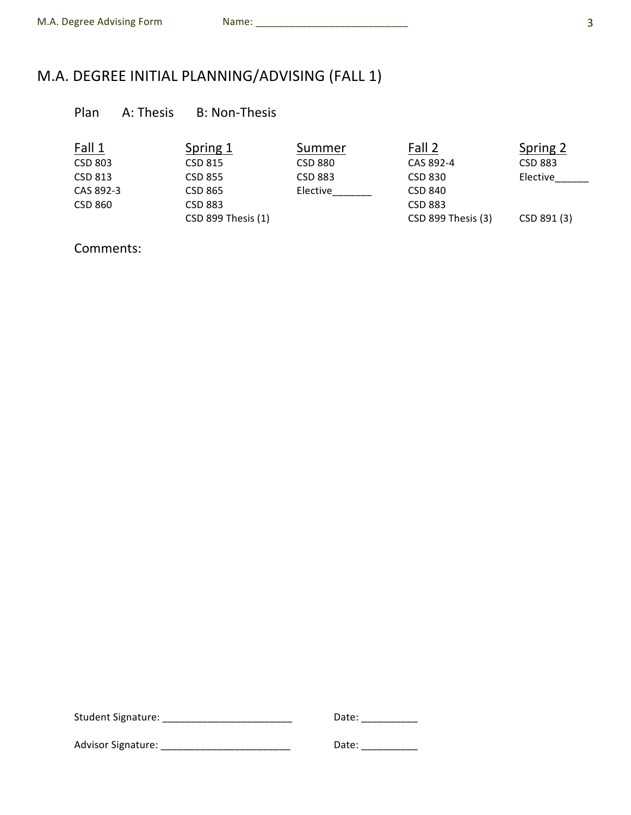# M.A. DEGREE INITIAL PLANNING/ADVISING (FALL 1)

### Plan A: Thesis B: Non-Thesis

| Fall 1    | Spring 1           | Summer         | Fall 2             | Spring 2    |
|-----------|--------------------|----------------|--------------------|-------------|
| CSD 803   | CSD 815            | CSD 880        | CAS 892-4          | CSD 883     |
| CSD 813   | CSD 855            | <b>CSD 883</b> | CSD 830            | Elective    |
| CAS 892-3 | CSD 865            | Elective       | <b>CSD 840</b>     |             |
| CSD 860   | <b>CSD 883</b>     |                | <b>CSD 883</b>     |             |
|           | CSD 899 Thesis (1) |                | CSD 899 Thesis (3) | CSD 891 (3) |

Comments:

| <b>Student Signature:</b> | Date: |
|---------------------------|-------|
| <b>Advisor Signature:</b> | Date: |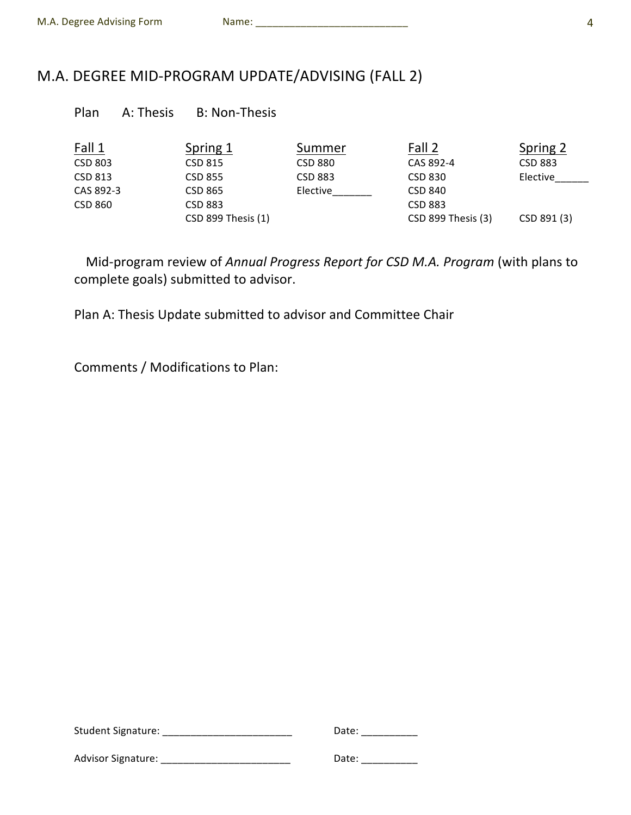## M.A. DEGREE MID-PROGRAM UPDATE/ADVISING (FALL 2)

|  | Plan | A: Thesis | <b>B: Non-Thesis</b> |
|--|------|-----------|----------------------|
|--|------|-----------|----------------------|

| Fall 1    | Spring 1           | Summer   | Fall 2             | Spring 2    |
|-----------|--------------------|----------|--------------------|-------------|
| CSD 803   | CSD 815            | CSD 880  | CAS 892-4          | CSD 883     |
| CSD 813   | CSD 855            | CSD 883  | CSD 830            | Elective    |
| CAS 892-3 | CSD 865            | Elective | CSD 840            |             |
| CSD 860   | <b>CSD 883</b>     |          | <b>CSD 883</b>     |             |
|           | CSD 899 Thesis (1) |          | CSD 899 Thesis (3) | CSD 891 (3) |

Mid-program review of Annual Progress Report for CSD M.A. Program (with plans to complete goals) submitted to advisor.

Plan A: Thesis Update submitted to advisor and Committee Chair

Comments / Modifications to Plan:

| <b>Student Signature:</b> | Date: |
|---------------------------|-------|
| <b>Advisor Signature:</b> | Date: |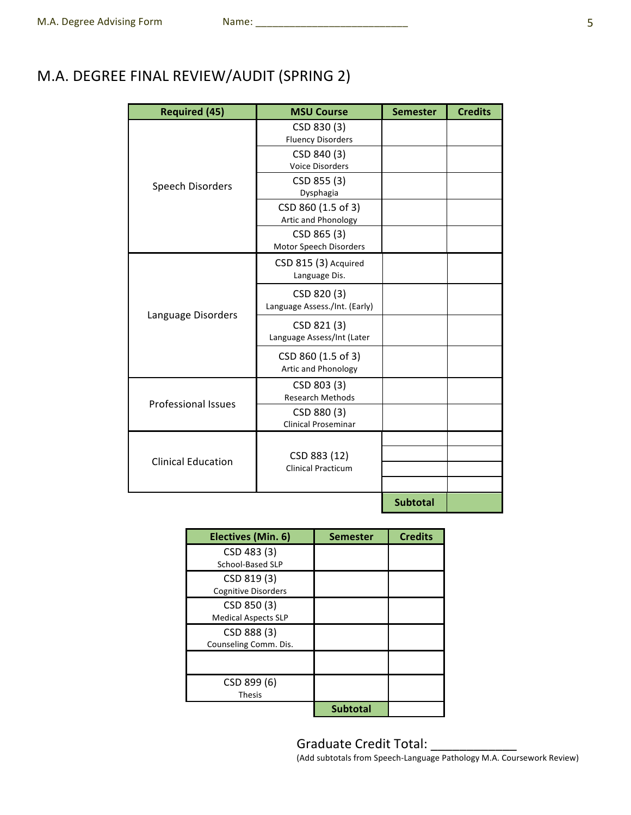## M.A. DEGREE FINAL REVIEW/AUDIT (SPRING 2)

| <b>Required (45)</b>       | <b>MSU Course</b>                            | <b>Semester</b> | <b>Credits</b> |
|----------------------------|----------------------------------------------|-----------------|----------------|
|                            | CSD 830 (3)<br><b>Fluency Disorders</b>      |                 |                |
| Speech Disorders           | CSD 840 (3)<br><b>Voice Disorders</b>        |                 |                |
|                            | CSD 855 (3)<br>Dysphagia                     |                 |                |
|                            | CSD 860 (1.5 of 3)<br>Artic and Phonology    |                 |                |
|                            | CSD 865 (3)<br>Motor Speech Disorders        |                 |                |
|                            | CSD 815 (3) Acquired<br>Language Dis.        |                 |                |
| Language Disorders         | CSD 820 (3)<br>Language Assess./Int. (Early) |                 |                |
|                            | CSD 821 (3)<br>Language Assess/Int (Later    |                 |                |
|                            | CSD 860 (1.5 of 3)<br>Artic and Phonology    |                 |                |
| <b>Professional Issues</b> | CSD 803 (3)<br><b>Research Methods</b>       |                 |                |
|                            | CSD 880 (3)<br><b>Clinical Proseminar</b>    |                 |                |
|                            |                                              |                 |                |
| <b>Clinical Education</b>  | CSD 883 (12)<br><b>Clinical Practicum</b>    |                 |                |
|                            |                                              |                 |                |
|                            |                                              | <b>Subtotal</b> |                |

| Electives (Min. 6)         | <b>Semester</b> | <b>Credits</b> |
|----------------------------|-----------------|----------------|
| CSD 483 (3)                |                 |                |
| School-Based SLP           |                 |                |
| CSD 819 (3)                |                 |                |
| <b>Cognitive Disorders</b> |                 |                |
| CSD 850 (3)                |                 |                |
| <b>Medical Aspects SLP</b> |                 |                |
| CSD 888 (3)                |                 |                |
| Counseling Comm. Dis.      |                 |                |
|                            |                 |                |
| CSD 899 (6)                |                 |                |
| <b>Thesis</b>              |                 |                |
|                            | <b>Subtotal</b> |                |

Graduate Credit Total: \_\_\_\_\_\_\_\_\_\_\_\_ (Add subtotals from Speech-Language Pathology M.A. Coursework Review)